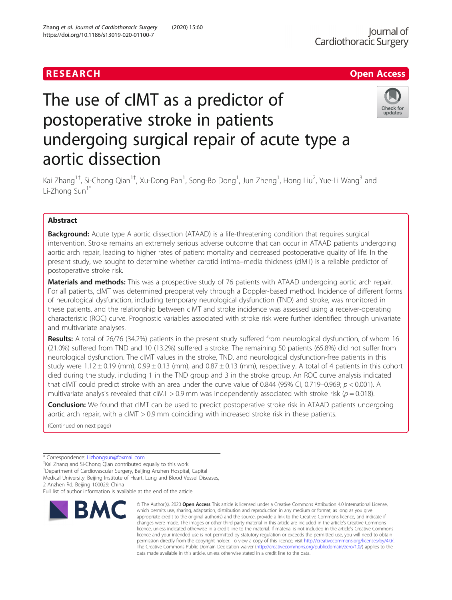## RESEARCH **RESEARCH CHANNEL EXECUTE ACCESS**

# Check for update:

# The use of cIMT as a predictor of postoperative stroke in patients undergoing surgical repair of acute type a aortic dissection

Kai Zhang<sup>1†</sup>, Si-Chong Qian<sup>1†</sup>, Xu-Dong Pan<sup>1</sup>, Song-Bo Dong<sup>1</sup>, Jun Zheng<sup>1</sup>, Hong Liu<sup>2</sup>, Yue-Li Wang<sup>3</sup> and Li-Zhong Sun<sup>1\*</sup>

### Abstract

**Background:** Acute type A aortic dissection (ATAAD) is a life-threatening condition that requires surgical intervention. Stroke remains an extremely serious adverse outcome that can occur in ATAAD patients undergoing aortic arch repair, leading to higher rates of patient mortality and decreased postoperative quality of life. In the present study, we sought to determine whether carotid intima–media thickness (cIMT) is a reliable predictor of postoperative stroke risk.

Materials and methods: This was a prospective study of 76 patients with ATAAD undergoing aortic arch repair. For all patients, cIMT was determined preoperatively through a Doppler-based method. Incidence of different forms of neurological dysfunction, including temporary neurological dysfunction (TND) and stroke, was monitored in these patients, and the relationship between cIMT and stroke incidence was assessed using a receiver-operating characteristic (ROC) curve. Prognostic variables associated with stroke risk were further identified through univariate and multivariate analyses.

Results: A total of 26/76 (34.2%) patients in the present study suffered from neurological dysfunction, of whom 16 (21.0%) suffered from TND and 10 (13.2%) suffered a stroke. The remaining 50 patients (65.8%) did not suffer from neurological dysfunction. The cIMT values in the stroke, TND, and neurological dysfunction-free patients in this study were  $1.12 \pm 0.19$  (mm),  $0.99 \pm 0.13$  (mm), and  $0.87 \pm 0.13$  (mm), respectively. A total of 4 patients in this cohort died during the study, including 1 in the TND group and 3 in the stroke group. An ROC curve analysis indicated that cIMT could predict stroke with an area under the curve value of 0.844 (95% CI, 0.719–0.969;  $p < 0.001$ ). A multivariate analysis revealed that cIMT > 0.9 mm was independently associated with stroke risk ( $p = 0.018$ ).

Conclusion: We found that cIMT can be used to predict postoperative stroke risk in ATAAD patients undergoing aortic arch repair, with a cIMT > 0.9 mm coinciding with increased stroke risk in these patients.

(Continued on next page)

Full list of author information is available at the end of the article



<sup>©</sup> The Author(s), 2020 **Open Access** This article is licensed under a Creative Commons Attribution 4.0 International License, which permits use, sharing, adaptation, distribution and reproduction in any medium or format, as long as you give appropriate credit to the original author(s) and the source, provide a link to the Creative Commons licence, and indicate if changes were made. The images or other third party material in this article are included in the article's Creative Commons licence, unless indicated otherwise in a credit line to the material. If material is not included in the article's Creative Commons licence and your intended use is not permitted by statutory regulation or exceeds the permitted use, you will need to obtain permission directly from the copyright holder. To view a copy of this licence, visit [http://creativecommons.org/licenses/by/4.0/.](http://creativecommons.org/licenses/by/4.0/) The Creative Commons Public Domain Dedication waiver [\(http://creativecommons.org/publicdomain/zero/1.0/](http://creativecommons.org/publicdomain/zero/1.0/)) applies to the data made available in this article, unless otherwise stated in a credit line to the data.

<sup>\*</sup> Correspondence: [Lizhongsun@foxmail.com](mailto:Lizhongsun@foxmail.com) †

<sup>&</sup>lt;sup>+</sup>Kai Zhang and Si-Chong Qian contributed equally to this work.

<sup>&</sup>lt;sup>1</sup>Department of Cardiovascular Surgery, Beijing Anzhen Hospital, Capital Medical University, Beijing Institute of Heart, Lung and Blood Vessel Diseases,

<sup>2</sup> Anzhen Rd, Beijing 100029, China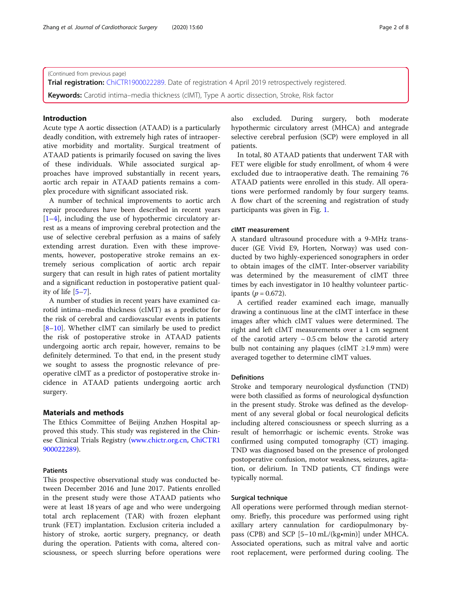(Continued from previous page)

Trial registration: [ChiCTR1900022289.](http://www.chictr.org.cn/edit.aspx?pid=37225&htm=4) Date of registration 4 April 2019 retrospectively registered.

Keywords: Carotid intima–media thickness (cIMT), Type A aortic dissection, Stroke, Risk factor

#### Introduction

Acute type A aortic dissection (ATAAD) is a particularly deadly condition, with extremely high rates of intraoperative morbidity and mortality. Surgical treatment of ATAAD patients is primarily focused on saving the lives of these individuals. While associated surgical approaches have improved substantially in recent years, aortic arch repair in ATAAD patients remains a complex procedure with significant associated risk.

A number of technical improvements to aortic arch repair procedures have been described in recent years [[1](#page-7-0)–[4\]](#page-7-0), including the use of hypothermic circulatory arrest as a means of improving cerebral protection and the use of selective cerebral perfusion as a mains of safely extending arrest duration. Even with these improvements, however, postoperative stroke remains an extremely serious complication of aortic arch repair surgery that can result in high rates of patient mortality and a significant reduction in postoperative patient quality of life [\[5](#page-7-0)–[7\]](#page-7-0).

A number of studies in recent years have examined carotid intima–media thickness (cIMT) as a predictor for the risk of cerebral and cardiovascular events in patients [[8](#page-7-0)–[10\]](#page-7-0). Whether cIMT can similarly be used to predict the risk of postoperative stroke in ATAAD patients undergoing aortic arch repair, however, remains to be definitely determined. To that end, in the present study we sought to assess the prognostic relevance of preoperative cIMT as a predictor of postoperative stroke incidence in ATAAD patients undergoing aortic arch surgery.

#### Materials and methods

The Ethics Committee of Beijing Anzhen Hospital approved this study. This study was registered in the Chinese Clinical Trials Registry ([www.chictr.org.cn,](http://www.chictr.org.cn) [ChiCTR1](http://www.chictr.org.cn/edit.aspx?pid=37225&htm=4) [900022289\)](http://www.chictr.org.cn/edit.aspx?pid=37225&htm=4).

#### Patients

This prospective observational study was conducted between December 2016 and June 2017. Patients enrolled in the present study were those ATAAD patients who were at least 18 years of age and who were undergoing total arch replacement (TAR) with frozen elephant trunk (FET) implantation. Exclusion criteria included a history of stroke, aortic surgery, pregnancy, or death during the operation. Patients with coma, altered consciousness, or speech slurring before operations were also excluded. During surgery, both moderate hypothermic circulatory arrest (MHCA) and antegrade selective cerebral perfusion (SCP) were employed in all patients.

In total, 80 ATAAD patients that underwent TAR with FET were eligible for study enrollment, of whom 4 were excluded due to intraoperative death. The remaining 76 ATAAD patients were enrolled in this study. All operations were performed randomly by four surgery teams. A flow chart of the screening and registration of study participants was given in Fig. [1](#page-2-0).

#### cIMT measurement

A standard ultrasound procedure with a 9-MHz transducer (GE Vivid E9, Horten, Norway) was used conducted by two highly-experienced sonographers in order to obtain images of the cIMT. Inter-observer variability was determined by the measurement of cIMT three times by each investigator in 10 healthy volunteer participants ( $p = 0.672$ ).

A certified reader examined each image, manually drawing a continuous line at the cIMT interface in these images after which cIMT values were determined. The right and left cIMT measurements over a 1 cm segment of the carotid artery  $\sim 0.5$  cm below the carotid artery bulb not containing any plaques (cIMT ≥1.9 mm) were averaged together to determine cIMT values.

#### **Definitions**

Stroke and temporary neurological dysfunction (TND) were both classified as forms of neurological dysfunction in the present study. Stroke was defined as the development of any several global or focal neurological deficits including altered consciousness or speech slurring as a result of hemorrhagic or ischemic events. Stroke was confirmed using computed tomography (CT) imaging. TND was diagnosed based on the presence of prolonged postoperative confusion, motor weakness, seizures, agitation, or delirium. In TND patients, CT findings were typically normal.

#### Surgical technique

All operations were performed through median sternotomy. Briefly, this procedure was performed using right axillary artery cannulation for cardiopulmonary bypass (CPB) and SCP [5–10 mL/(kg•min)] under MHCA. Associated operations, such as mitral valve and aortic root replacement, were performed during cooling. The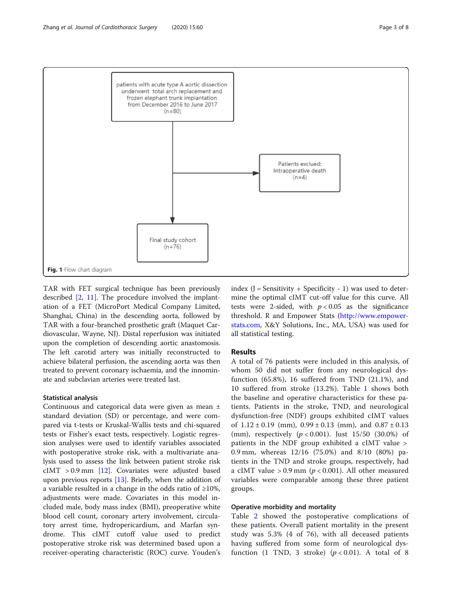<span id="page-2-0"></span>

TAR with FET surgical technique has been previously described [[2,](#page-7-0) [11](#page-7-0)]. The procedure involved the implantation of a FET (MicroPort Medical Company Limited, Shanghai, China) in the descending aorta, followed by TAR with a four-branched prosthetic graft (Maquet Cardiovascular, Wayne, NJ). Distal reperfusion was initiated upon the completion of descending aortic anastomosis. The left carotid artery was initially reconstructed to achieve bilateral perfusion, the ascending aorta was then treated to prevent coronary ischaemia, and the innominate and subclavian arteries were treated last.

#### Statistical analysis

Continuous and categorical data were given as mean ± standard deviation (SD) or percentage, and were compared via t-tests or Kruskal-Wallis tests and chi-squared tests or Fisher's exact tests, respectively. Logistic regression analyses were used to identify variables associated with postoperative stroke risk, with a multivariate analysis used to assess the link between patient stroke risk  $cIMT > 0.9$  mm [[12](#page-7-0)]. Covariates were adjusted based upon previous reports [\[13](#page-7-0)]. Briefly, when the addition of a variable resulted in a change in the odds ratio of ≥10%, adjustments were made. Covariates in this model included male, body mass index (BMI), preoperative white blood cell count, coronary artery involvement, circulatory arrest time, hydropericardium, and Marfan syndrome. This cIMT cutoff value used to predict postoperative stroke risk was determined based upon a receiver-operating characteristic (ROC) curve. Youden's index  $(J =$  Sensitivity + Specificity - 1) was used to determine the optimal cIMT cut-off value for this curve. All tests were 2-sided, with  $p < 0.05$  as the significance threshold. R and Empower Stats [\(http://www.empower](http://www.empowerstats.com)[stats.com,](http://www.empowerstats.com) X&Y Solutions, Inc., MA, USA) was used for all statistical testing.

#### Results

A total of 76 patients were included in this analysis, of whom 50 did not suffer from any neurological dysfunction (65.8%), 16 suffered from TND (21.1%), and 10 suffered from stroke (13.2%). Table [1](#page-3-0) shows both the baseline and operative characteristics for these patients. Patients in the stroke, TND, and neurological dysfunction-free (NDF) groups exhibited cIMT values of  $1.12 \pm 0.19$  (mm),  $0.99 \pm 0.13$  (mm), and  $0.87 \pm 0.13$ (mm), respectively  $(p < 0.001)$ . Just 15/50 (30.0%) of patients in the NDF group exhibited a cIMT value > 0.9 mm, whereas 12/16 (75.0%) and 8/10 (80%) patients in the TND and stroke groups, respectively, had a cIMT value > 0.9 mm ( $p$  < 0.001). All other measured variables were comparable among these three patient groups.

#### Operative morbidity and mortality

Table [2](#page-3-0) showed the postoperative complications of these patients. Overall patient mortality in the present study was 5.3% (4 of 76), with all deceased patients having suffered from some form of neurological dysfunction (1 TND, 3 stroke)  $(p < 0.01)$ . A total of 8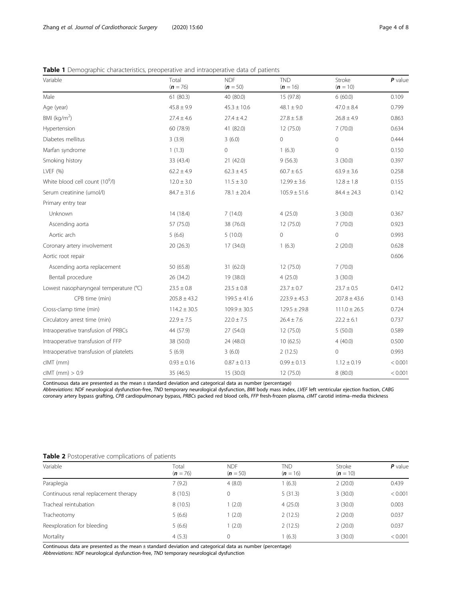<span id="page-3-0"></span>

| <b>Table 1</b> Demographic characteristics, preoperative and intraoperative data of patients |  |  |
|----------------------------------------------------------------------------------------------|--|--|
|                                                                                              |  |  |

| Variable                                    | Total<br>$(n = 76)$ | <b>NDF</b><br>$(n = 50)$ | <b>TND</b><br>$(n = 16)$ | Stroke<br>$(n = 10)$ | $P$ value |
|---------------------------------------------|---------------------|--------------------------|--------------------------|----------------------|-----------|
| Male                                        | 61(80.3)            | 40 (80.0)                | 15 (97.8)                | 6(60.0)              | 0.109     |
| Age (year)                                  | $45.8 \pm 9.9$      | $45.3 \pm 10.6$          | $48.1 \pm 9.0$           | $47.0 \pm 8.4$       | 0.799     |
| BMI ( $kg/m2$ )                             | $27.4 \pm 4.6$      | $27.4 \pm 4.2$           | $27.8 \pm 5.8$           | $26.8 \pm 4.9$       | 0.863     |
| Hypertension                                | 60 (78.9)           | 41 (82.0)                | 12 (75.0)                | 7(70.0)              | 0.634     |
| Diabetes mellitus                           | 3(3.9)              | 3(6.0)                   | $\mathbf 0$              | 0                    | 0.444     |
| Marfan syndrome                             | 1(1.3)              | $\mathbf 0$              | 1(6.3)                   | $\mathsf{O}\xspace$  | 0.150     |
| Smoking history                             | 33 (43.4)           | 21(42.0)                 | 9(56.3)                  | 3(30.0)              | 0.397     |
| LVEF (%)                                    | $62.2 \pm 4.9$      | $62.3 \pm 4.5$           | $60.7 \pm 6.5$           | $63.9 \pm 3.6$       | 0.258     |
| White blood cell count (10 <sup>9</sup> /l) | $12.0 \pm 3.0$      | $11.5 \pm 3.0$           | $12.99 \pm 3.6$          | $12.8 \pm 1.8$       | 0.155     |
| Serum creatinine (umol/l)                   | $84.7 \pm 31.6$     | $78.1 \pm 20.4$          | $105.9 \pm 51.6$         | $84.4 \pm 24.3$      | 0.142     |
| Primary entry tear                          |                     |                          |                          |                      |           |
| Unknown                                     | 14 (18.4)           | 7(14.0)                  | 4(25.0)                  | 3(30.0)              | 0.367     |
| Ascending aorta                             | 57 (75.0)           | 38 (76.0)                | 12 (75.0)                | 7(70.0)              | 0.923     |
| Aortic arch                                 | 5(6.6)              | 5(10.0)                  | $\mathbf 0$              | $\mathsf{O}\xspace$  | 0.993     |
| Coronary artery involvement                 | 20(26.3)            | 17 (34.0)                | 1(6.3)                   | 2(20.0)              | 0.628     |
| Aortic root repair                          |                     |                          |                          |                      | 0.606     |
| Ascending aorta replacement                 | 50 (65.8)           | 31 (62.0)                | 12 (75.0)                | 7(70.0)              |           |
| Bentall procedure                           | 26 (34.2)           | 19 (38.0)                | 4(25.0)                  | 3(30.0)              |           |
| Lowest nasopharyngeal temperature (°C)      | $23.5 \pm 0.8$      | $23.5 \pm 0.8$           | $23.7 \pm 0.7$           | $23.7 \pm 0.5$       | 0.412     |
| CPB time (min)                              | $205.8 \pm 43.2$    | $199.5 \pm 41.6$         | $223.9 \pm 45.3$         | $207.8 \pm 43.6$     | 0.143     |
| Cross-clamp time (min)                      | $114.2 \pm 30.5$    | $109.9 \pm 30.5$         | $129.5 \pm 29.8$         | $111.0 \pm 26.5$     | 0.724     |
| Circulatory arrest time (min)               | $22.9 \pm 7.5$      | $22.0 \pm 7.5$           | $26.4 \pm 7.6$           | $22.2 \pm 6.1$       | 0.737     |
| Intraoperative transfusion of PRBCs         | 44 (57.9)           | 27 (54.0)                | 12 (75.0)                | 5(50.0)              | 0.589     |
| Intraoperative transfusion of FFP           | 38 (50.0)           | 24 (48.0)                | 10(62.5)                 | 4(40.0)              | 0.500     |
| Intraoperative transfusion of platelets     | 5(6.9)              | 3(6.0)                   | 2(12.5)                  | 0                    | 0.993     |
| clMT (mm)                                   | $0.93 \pm 0.16$     | $0.87 \pm 0.13$          | $0.99 \pm 0.13$          | $1.12 \pm 0.19$      | < 0.001   |
| $clMT$ (mm) $> 0.9$                         | 35 (46.5)           | 15 (30.0)                | 12 (75.0)                | 8(80.0)              | < 0.001   |

Continuous data are presented as the mean ± standard deviation and categorical data as number (percentage)

Abbreviations: NDF neurological dysfunction-free, TND temporary neurological dysfunction, BMI body mass index, LVEF left ventricular ejection fraction, CABG coronary artery bypass grafting, CPB cardiopulmonary bypass, PRBCs packed red blood cells, FFP fresh-frozen plasma, cIMT carotid intima–media thickness

#### Table 2 Postoperative complications of patients

| Variable                             | Total<br>$(n = 76)$ | <b>NDF</b><br>$(n = 50)$ | TND<br>$(n = 16)$ | Stroke<br>$(n = 10)$ | $P$ value |
|--------------------------------------|---------------------|--------------------------|-------------------|----------------------|-----------|
| Paraplegia                           | 7(9.2)              | 4(8.0)                   | 1(6.3)            | 2(20.0)              | 0.439     |
| Continuous renal replacement therapy | 8(10.5)             | 0                        | 5(31.3)           | 3(30.0)              | < 0.001   |
| Tracheal reintubation                | 8(10.5)             | (2.0)                    | 4(25.0)           | 3(30.0)              | 0.003     |
| Tracheotomy                          | 5(6.6)              | (2.0)                    | 2(12.5)           | 2(20.0)              | 0.037     |
| Reexploration for bleeding           | 5(6.6)              | (2.0)                    | 2(12.5)           | 2(20.0)              | 0.037     |
| Mortality                            | 4(5.3)              | 0                        | 1(6.3)            | 3(30.0)              | < 0.001   |

Continuous data are presented as the mean ± standard deviation and categorical data as number (percentage)

Abbreviations: NDF neurological dysfunction-free, TND temporary neurological dysfunction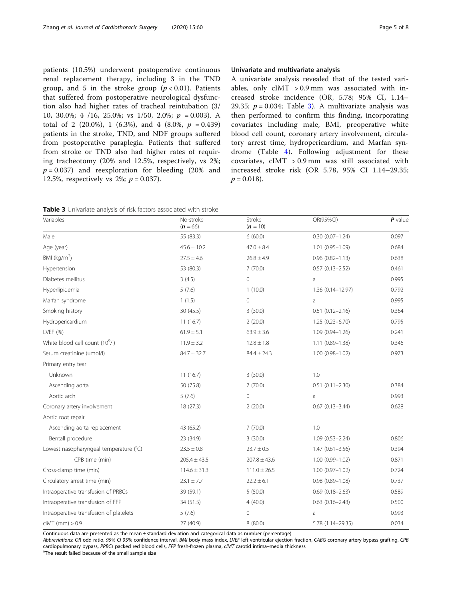patients (10.5%) underwent postoperative continuous renal replacement therapy, including 3 in the TND group, and 5 in the stroke group  $(p < 0.01)$ . Patients that suffered from postoperative neurological dysfunction also had higher rates of tracheal reintubation (3/ 10, 30.0%; 4 /16, 25.0%; vs  $1/50$ , 2.0%;  $p = 0.003$ ). A total of 2 (20.0%), 1 (6.3%), and 4 (8.0%,  $p = 0.439$ ) patients in the stroke, TND, and NDF groups suffered from postoperative paraplegia. Patients that suffered from stroke or TND also had higher rates of requiring tracheotomy (20% and 12.5%, respectively, vs 2%;  $p = 0.037$ ) and reexploration for bleeding (20% and 12.5%, respectively vs 2%;  $p = 0.037$ ).

#### Univariate and multivariate analysis

A univariate analysis revealed that of the tested variables, only cIMT > 0.9 mm was associated with increased stroke incidence (OR, 5.78; 95% CI, 1.14– 29.35;  $p = 0.034$ ; Table 3). A multivariate analysis was then performed to confirm this finding, incorporating covariates including male, BMI, preoperative white blood cell count, coronary artery involvement, circulatory arrest time, hydropericardium, and Marfan syndrome (Table [4\)](#page-5-0). Following adjustment for these covariates, cIMT > 0.9 mm was still associated with increased stroke risk (OR 5.78, 95% CI 1.14–29.35;  $p = 0.018$ .

|  | <b>Table 3</b> Univariate analysis of risk factors associated with stroke |  |
|--|---------------------------------------------------------------------------|--|
|  |                                                                           |  |

| Variables                                   | No-stroke<br>$(n = 66)$ | Stroke<br>$(n = 10)$ | OR(95%CI)            | $P$ value |
|---------------------------------------------|-------------------------|----------------------|----------------------|-----------|
| Male                                        | 55 (83.3)               | 6(60.0)              | $0.30(0.07 - 1.24)$  | 0.097     |
| Age (year)                                  | $45.6 \pm 10.2$         | $47.0 \pm 8.4$       | $1.01(0.95 - 1.09)$  | 0.684     |
| BMI ( $kg/m2$ )                             | $27.5 \pm 4.6$          | $26.8 \pm 4.9$       | $0.96(0.82 - 1.13)$  | 0.638     |
| Hypertension                                | 53 (80.3)               | 7(70.0)              | $0.57(0.13 - 2.52)$  | 0.461     |
| Diabetes mellitus                           | 3(4.5)                  | 0                    | a                    | 0.995     |
| Hyperlipidemia                              | 5(7.6)                  | 1(10.0)              | $1.36(0.14 - 12.97)$ | 0.792     |
| Marfan syndrome                             | 1(1.5)                  | 0                    | a                    | 0.995     |
| Smoking history                             | 30 (45.5)               | 3(30.0)              | $0.51(0.12 - 2.16)$  | 0.364     |
| Hydropericardium                            | 11(16.7)                | 2(20.0)              | $1.25(0.23 - 6.70)$  | 0.795     |
| LVEF (%)                                    | $61.9 \pm 5.1$          | $63.9 \pm 3.6$       | $1.09(0.94 - 1.26)$  | 0.241     |
| White blood cell count (10 <sup>9</sup> /l) | $11.9 \pm 3.2$          | $12.8 \pm 1.8$       | $1.11(0.89 - 1.38)$  | 0.346     |
| Serum creatinine (umol/l)                   | $84.7 \pm 32.7$         | $84.4 \pm 24.3$      | $1.00(0.98 - 1.02)$  | 0.973     |
| Primary entry tear                          |                         |                      |                      |           |
| Unknown                                     | 11(16.7)                | 3(30.0)              | 1.0                  |           |
| Ascending aorta                             | 50 (75.8)               | 7(70.0)              | $0.51(0.11 - 2.30)$  | 0.384     |
| Aortic arch                                 | 5(7.6)                  | 0                    | a                    | 0.993     |
| Coronary artery involvement                 | 18 (27.3)               | 2(20.0)              | $0.67(0.13 - 3.44)$  | 0.628     |
| Aortic root repair                          |                         |                      |                      |           |
| Ascending aorta replacement                 | 43 (65.2)               | 7(70.0)              | 1.0                  |           |
| Bentall procedure                           | 23 (34.9)               | 3(30.0)              | $1.09(0.53 - 2.24)$  | 0.806     |
| Lowest nasopharyngeal temperature (°C)      | $23.5 \pm 0.8$          | $23.7 \pm 0.5$       | $1.47(0.61 - 3.56)$  | 0.394     |
| CPB time (min)                              | $205.4 \pm 43.5$        | $207.8 \pm 43.6$     | $1.00(0.99 - 1.02)$  | 0.871     |
| Cross-clamp time (min)                      | $114.6 \pm 31.3$        | $111.0 \pm 26.5$     | $1.00(0.97 - 1.02)$  | 0.724     |
| Circulatory arrest time (min)               | $23.1 \pm 7.7$          | $22.2 \pm 6.1$       | $0.98(0.89 - 1.08)$  | 0.737     |
| Intraoperative transfusion of PRBCs         | 39 (59.1)               | 5(50.0)              | $0.69(0.18 - 2.63)$  | 0.589     |
| Intraoperative transfusion of FFP           | 34 (51.5)               | 4(40.0)              | $0.63(0.16 - 2.43)$  | 0.500     |
| Intraoperative transfusion of platelets     | 5(7.6)                  | 0                    | a                    | 0.993     |
| $clMT$ (mm) $> 0.9$                         | 27 (40.9)               | 8(80.0)              | 5.78 (1.14-29.35)    | 0.034     |

Continuous data are presented as the mean  $\pm$  standard deviation and categorical data as number (percentage)

Abbreviations: OR odd ratio, 95% CI 95% confidence interval, BMI body mass index, LVEF left ventricular ejection fraction, CABG coronary artery bypass grafting, CPB cardiopulmonary bypass, PRBCs packed red blood cells, FFP fresh-frozen plasma, cIMT carotid intima–media thickness

<sup>a</sup>The result failed because of the small sample size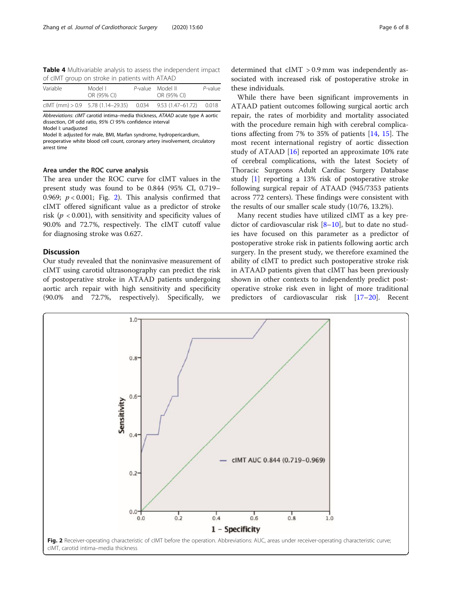<span id="page-5-0"></span>Table 4 Multivariable analysis to assess the independent impact of cIMT group on stroke in patients with ATAAD

| Variable | Model L<br>OR (95% CI)                                      | P-value Model II<br>OR (95% CI) | P-value |
|----------|-------------------------------------------------------------|---------------------------------|---------|
|          | clMT (mm) $> 0.9$ 5.78 (1.14–29.35) 0.034 9.53 (1.47–61.72) |                                 | 0.018   |

Abbreviations: cIMT carotid intima–media thickness, ATAAD acute type A aortic dissection, OR odd ratio, 95% CI 95% confidence interval Model I: unadjusted

Model II: adjusted for male, BMI, Marfan syndrome, hydropericardium,

preoperative white blood cell count, coronary artery involvement, circulatory arrest time

#### Area under the ROC curve analysis

The area under the ROC curve for cIMT values in the present study was found to be 0.844 (95% CI, 0.719– 0.969;  $p < 0.001$ ; Fig. 2). This analysis confirmed that cIMT offered significant value as a predictor of stroke risk ( $p < 0.001$ ), with sensitivity and specificity values of 90.0% and 72.7%, respectively. The cIMT cutoff value for diagnosing stroke was 0.627.

#### **Discussion**

Our study revealed that the noninvasive measurement of cIMT using carotid ultrasonography can predict the risk of postoperative stroke in ATAAD patients undergoing aortic arch repair with high sensitivity and specificity (90.0% and 72.7%, respectively). Specifically, we

 $1.0$ 

determined that cIMT > 0.9 mm was independently associated with increased risk of postoperative stroke in these individuals.

While there have been significant improvements in ATAAD patient outcomes following surgical aortic arch repair, the rates of morbidity and mortality associated with the procedure remain high with cerebral complications affecting from 7% to 35% of patients [[14,](#page-7-0) [15](#page-7-0)]. The most recent international registry of aortic dissection study of ATAAD [[16\]](#page-7-0) reported an approximate 10% rate of cerebral complications, with the latest Society of Thoracic Surgeons Adult Cardiac Surgery Database study [[1\]](#page-7-0) reporting a 13% risk of postoperative stroke following surgical repair of ATAAD (945/7353 patients across 772 centers). These findings were consistent with the results of our smaller scale study (10/76, 13.2%).

Many recent studies have utilized cIMT as a key pre-dictor of cardiovascular risk [\[8](#page-7-0)-[10\]](#page-7-0), but to date no studies have focused on this parameter as a predictor of postoperative stroke risk in patients following aortic arch surgery. In the present study, we therefore examined the ability of cIMT to predict such postoperative stroke risk in ATAAD patients given that cIMT has been previously shown in other contexts to independently predict postoperative stroke risk even in light of more traditional predictors of cardiovascular risk [[17](#page-7-0)–[20\]](#page-7-0). Recent

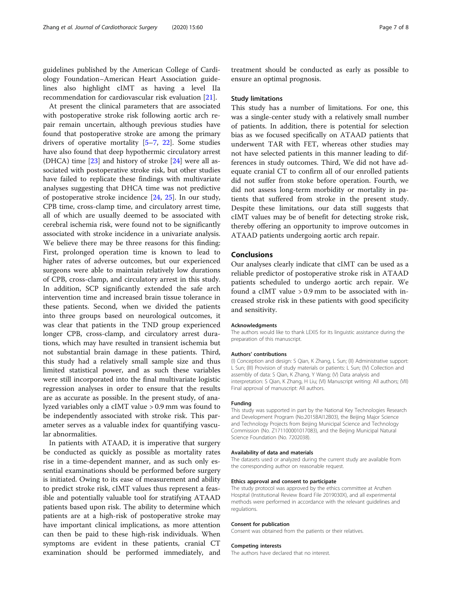guidelines published by the American College of Cardiology Foundation–American Heart Association guidelines also highlight cIMT as having a level IIa recommendation for cardiovascular risk evaluation [[21\]](#page-7-0).

At present the clinical parameters that are associated with postoperative stroke risk following aortic arch repair remain uncertain, although previous studies have found that postoperative stroke are among the primary drivers of operative mortality [\[5](#page-7-0)–[7,](#page-7-0) [22\]](#page-7-0). Some studies have also found that deep hypothermic circulatory arrest (DHCA) time [\[23](#page-7-0)] and history of stroke [\[24](#page-7-0)] were all associated with postoperative stroke risk, but other studies have failed to replicate these findings with multivariate analyses suggesting that DHCA time was not predictive of postoperative stroke incidence [\[24](#page-7-0), [25](#page-7-0)]. In our study, CPB time, cross-clamp time, and circulatory arrest time, all of which are usually deemed to be associated with cerebral ischemia risk, were found not to be significantly associated with stroke incidence in a univariate analysis. We believe there may be three reasons for this finding: First, prolonged operation time is known to lead to higher rates of adverse outcomes, but our experienced surgeons were able to maintain relatively low durations of CPB, cross-clamp, and circulatory arrest in this study. In addition, SCP significantly extended the safe arch intervention time and increased brain tissue tolerance in these patients. Second, when we divided the patients into three groups based on neurological outcomes, it was clear that patients in the TND group experienced longer CPB, cross-clamp, and circulatory arrest durations, which may have resulted in transient ischemia but not substantial brain damage in these patients. Third, this study had a relatively small sample size and thus limited statistical power, and as such these variables were still incorporated into the final multivariate logistic regression analyses in order to ensure that the results are as accurate as possible. In the present study, of analyzed variables only a cIMT value > 0.9 mm was found to be independently associated with stroke risk. This parameter serves as a valuable index for quantifying vascular abnormalities.

In patients with ATAAD, it is imperative that surgery be conducted as quickly as possible as mortality rates rise in a time-dependent manner, and as such only essential examinations should be performed before surgery is initiated. Owing to its ease of measurement and ability to predict stroke risk, cIMT values thus represent a feasible and potentially valuable tool for stratifying ATAAD patients based upon risk. The ability to determine which patients are at a high-risk of postoperative stroke may have important clinical implications, as more attention can then be paid to these high-risk individuals. When symptoms are evident in these patients, cranial CT examination should be performed immediately, and treatment should be conducted as early as possible to ensure an optimal prognosis.

#### Study limitations

This study has a number of limitations. For one, this was a single-center study with a relatively small number of patients. In addition, there is potential for selection bias as we focused specifically on ATAAD patients that underwent TAR with FET, whereas other studies may not have selected patients in this manner leading to differences in study outcomes. Third, We did not have adequate cranial CT to confirm all of our enrolled patients did not suffer from stoke before operation. Fourth, we did not assess long-term morbidity or mortality in patients that suffered from stroke in the present study. Despite these limitations, our data still suggests that cIMT values may be of benefit for detecting stroke risk, thereby offering an opportunity to improve outcomes in ATAAD patients undergoing aortic arch repair.

#### Conclusions

Our analyses clearly indicate that cIMT can be used as a reliable predictor of postoperative stroke risk in ATAAD patients scheduled to undergo aortic arch repair. We found a cIMT value > 0.9 mm to be associated with increased stroke risk in these patients with good specificity and sensitivity.

#### Acknowledgments

The authors would like to thank LEXIS for its linguistic assistance during the preparation of this manuscript.

#### Authors' contributions

(I) Conception and design: S Qian, K Zhang, L Sun; (II) Administrative support: L Sun; (III) Provision of study materials or patients: L Sun; (IV) Collection and assembly of data: S Qian, K Zhang, Y Wang; (V) Data analysis and interpretation: S Qian, K Zhang, H Liu; (VI) Manuscript writing: All authors; (VII) Final approval of manuscript: All authors.

#### Funding

This study was supported in part by the National Key Technologies Research and Development Program (No.2015BAI12B03), the Beijing Major Science and Technology Projects from Beijing Municipal Science and Technology Commission (No. Z171100001017083), and the Beijing Municipal Natural Science Foundation (No. 7202038).

#### Availability of data and materials

The datasets used or analyzed during the current study are available from the corresponding author on reasonable request.

#### Ethics approval and consent to participate

The study protocol was approved by the ethics committee at Anzhen Hospital (Institutional Review Board File 2019030X), and all experimental methods were performed in accordance with the relevant guidelines and regulations.

#### Consent for publication

Consent was obtained from the patients or their relatives.

#### Competing interests

The authors have declared that no interest.